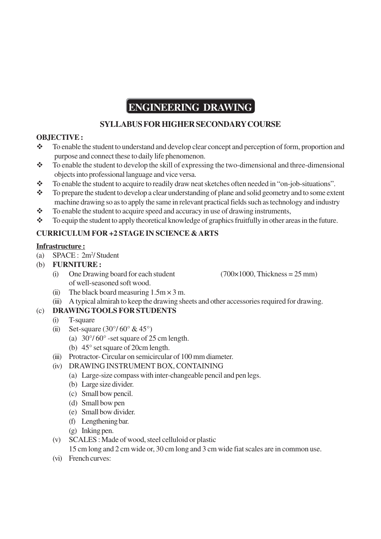# **ENGINEERING DRAWING**

# **SYLLABUS FOR HIGHER SECONDARY COURSE**

## **OBJECTIVE :**

- \* To enable the student to understand and develop clear concept and perception of form, proportion and purpose and connect these to daily life phenomenon.
- $\bullet$  To enable the student to develop the skill of expressing the two-dimensional and three-dimensional objects into professional language and vice versa.
- \* To enable the student to acquire to readily draw neat sketches often needed in "on-job-situations".
- $\bullet$  To prepare the student to develop a clear understanding of plane and solid geometry and to some extent machine drawing so as to apply the same in relevant practical fields such as technology and industry
- $\bullet$  To enable the student to acquire speed and accuracy in use of drawing instruments,
- \* To equip the student to apply theoretical knowledge of graphics fruitfully in other areas in the future.

# **CURRICULUM FOR +2 STAGE IN SCIENCE & ARTS**

## **Infrastructure :**

- (a) SPACE : 2m<sup>2</sup>/ Student
- (b) **FURNITURE :**
	- (i) One Drawing board for each student (700×1000, Thickness =  $25 \text{ mm}$ ) of well-seasoned soft wood.

- (ii) The black board measuring  $1.5 \text{m} \times 3 \text{m}$ .
- (iii) A typical almirah to keep the drawing sheets and other accessories required for drawing.

## (c) **DRAWING TOOLS FOR STUDENTS**

- (i) T-square
- (ii) Set-square  $(30^{\circ}/60^{\circ} \& 45^{\circ})$ 
	- (a)  $30^{\circ}/60^{\circ}$  -set square of 25 cm length.
	- (b) 45° set square of 20cm length.
- (iii) Protractor- Circular on semicircular of 100 mm diameter.
- (iv) DRAWING INSTRUMENT BOX, CONTAINING
	- (a) Large-size compass with inter-changeable pencil and pen legs.
	- (b) Large size divider.
	- (c) Small bow pencil.
	- (d) Small bow pen
	- (e) Small bow divider.
	- (f) Lengthening bar.
	- (g) Inking pen.
- (v) SCALES : Made of wood, steel celluloid or plastic

15 cm long and 2 cm wide or, 30 cm long and 3 cm wide fiat scales are in common use.

(vi) French curves: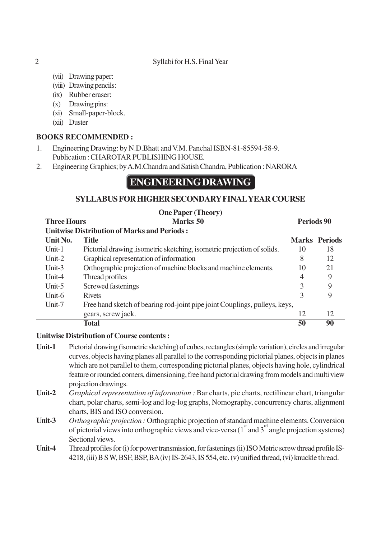### 2 Syllabi for H.S. Final Year

- (vii) Drawing paper:
- (viii) Drawing pencils:
- (ix) Rubber eraser:
- (x) Drawing pins:
- (xi) Small-paper-block.
- (xii) Duster

## **BOOKS RECOMMENDED :**

- 1. Engineering Drawing: by N.D.Bhatt and V.M. Panchal ISBN-81-85594-58-9. Publication : CHAROTAR PUBLISHING HOUSE.
- 2. Engineering Graphics; by A.M.Chandra and Satish Chandra, Publication : NARORA

# **ENGINEERING DRAWING**

## **SYLLABUS FOR HIGHER SECONDARY FINAL YEAR COURSE**

## **One Paper (Theory)**

**Three Hours 2018 Marks 50 Periods 90 Periods 90** 

| <b>Unitwise Distribution of Marks and Periods:</b> |                                                                            |    |                      |  |
|----------------------------------------------------|----------------------------------------------------------------------------|----|----------------------|--|
| Unit No.                                           | Title                                                                      |    | <b>Marks</b> Periods |  |
| Unit-1                                             | Pictorial drawing , isometric sketching, isometric projection of solids.   | 10 | 18                   |  |
| Unit- $2$                                          | Graphical representation of information                                    | 8  | 12                   |  |
| Unit- $3$                                          | Orthographic projection of machine blocks and machine elements.            | 10 | 21                   |  |
| $Unit-4$                                           | Thread profiles                                                            | 4  | 9                    |  |
| Unit- $5$                                          | Screwed fastenings                                                         | 3  | 9                    |  |
| Unit-6                                             | <b>Rivets</b>                                                              | 3  | 9                    |  |
| Unit-7                                             | Free hand sketch of bearing rod-joint pipe joint Couplings, pulleys, keys, |    |                      |  |
|                                                    | gears, screw jack.                                                         | 12 | 12                   |  |
|                                                    | Total                                                                      | 50 | 90                   |  |

### **Unitwise Distribution of Course contents :**

- **Unit-1** Pictorial drawing (isometric sketching) of cubes, rectangles (simple variation), circles and irregular curves, objects having planes all parallel to the corresponding pictorial planes, objects in planes which are not parallel to them, corresponding pictorial planes, objects having hole, cylindrical feature or rounded corners, dimensioning, free hand pictorial drawing from models and multi view projection drawings.
- **Unit-2** *Graphical representation of information :* Bar charts, pie charts, rectilinear chart, triangular chart, polar charts, semi-log and log-log graphs, Nomography, concurrency charts, alignment charts, BIS and ISO conversion.
- **Unit-3** *Orthographic projection :* Orthographic projection of standard machine elements. Conversion of pictorial views into orthographic views and vice-versa  $(1<sup>st</sup>$  and  $3<sup>rd</sup>$  angle projection systems) Sectional views.
- **Unit-4** Thread profiles for (i) for power transmission, for fastenings (ii) ISO Metric screw thread profile IS-4218, (iii) B S W, BSF, BSP, BA (iv) IS-2643, IS 554, etc. (v) unified thread, (vi) knuckle thread.